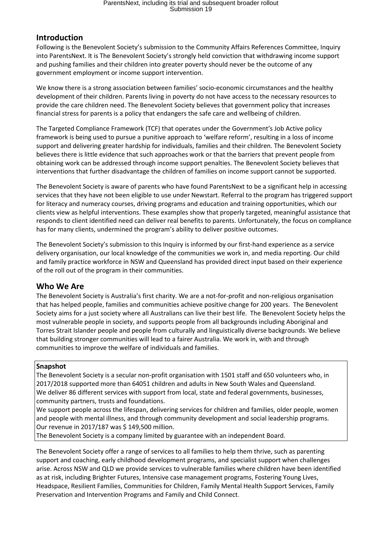# ParentsNext, including its trial and subsequent broader rollout Submission 19

# **Introduction**

Following is the Benevolent Society's submission to the Community Affairs References Committee, Inquiry into ParentsNext. It is The Benevolent Society's strongly held conviction that withdrawing income support and pushing families and their children into greater poverty should never be the outcome of any government employment or income support intervention.

We know there is a strong association between families' socio-economic circumstances and the healthy development of their children. Parents living in poverty do not have access to the necessary resources to provide the care children need. The Benevolent Society believes that government policy that increases financial stress for parents is a policy that endangers the safe care and wellbeing of children.

The Targeted Compliance Framework (TCF) that operates under the Government's Job Active policy framework is being used to pursue a punitive approach to 'welfare reform', resulting in a loss of income support and delivering greater hardship for individuals, families and their children. The Benevolent Society believes there is little evidence that such approaches work or that the barriers that prevent people from obtaining work can be addressed through income support penalties. The Benevolent Society believes that interventions that further disadvantage the children of families on income support cannot be supported.

The Benevolent Society is aware of parents who have found ParentsNext to be a significant help in accessing services that they have not been eligible to use under Newstart. Referral to the program has triggered support for literacy and numeracy courses, driving programs and education and training opportunities, which our clients view as helpful interventions. These examples show that properly targeted, meaningful assistance that responds to client identified need can deliver real benefits to parents. Unfortunately, the focus on compliance has for many clients, undermined the program's ability to deliver positive outcomes.

The Benevolent Society's submission to this Inquiry is informed by our first-hand experience as a service delivery organisation, our local knowledge of the communities we work in, and media reporting. Our child and family practice workforce in NSW and Queensland has provided direct input based on their experience of the roll out of the program in their communities.

## **Who We Are**

The Benevolent Society is Australia's first charity. We are a not-for-profit and non-religious organisation that has helped people, families and communities achieve positive change for 200 years. The Benevolent Society aims for a just society where all Australians can live their best life. The Benevolent Society helps the most vulnerable people in society, and supports people from all backgrounds including Aboriginal and Torres Strait Islander people and people from culturally and linguistically diverse backgrounds. We believe that building stronger communities will lead to a fairer Australia. We work in, with and through communities to improve the welfare of individuals and families.

#### **Snapshot**

The Benevolent Society is a secular non-profit organisation with 1501 staff and 650 volunteers who, in 2017/2018 supported more than 64051 children and adults in New South Wales and Queensland. We deliver 86 different services with support from local, state and federal governments, businesses, community partners, trusts and foundations.

We support people across the lifespan, delivering services for children and families, older people, women and people with mental illness, and through community development and social leadership programs. Our revenue in 2017/187 was \$ 149,500 million.

The Benevolent Society is a company limited by guarantee with an independent Board.

The Benevolent Society offer a range of services to all families to help them thrive, such as parenting support and coaching, early childhood development programs, and specialist support when challenges arise. Across NSW and QLD we provide services to vulnerable families where children have been identified as at risk, including Brighter Futures, Intensive case management programs, Fostering Young Lives, Headspace, Resilient Families, Communities for Children, Family Mental Health Support Services, Family Preservation and Intervention Programs and Family and Child Connect.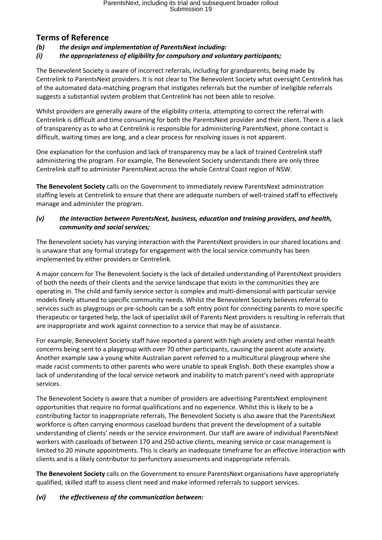# **Terms of Reference**

*(b) the design and implementation of ParentsNext including:*

*(i) the appropriateness of eligibility for compulsory and voluntary participants;*

The Benevolent Society is aware of incorrect referrals, including for grandparents, being made by Centrelink to ParentsNext providers. It is not clear to The Benevolent Society what oversight Centrelink has of the automated data-matching program that instigates referrals but the number of ineligible referrals suggests a substantial system problem that Centrelink has not been able to resolve.

Whilst providers are generally aware of the eligibility criteria, attempting to correct the referral with Centrelink is difficult and time consuming for both the ParentsNext provider and their client. There is a lack of transparency as to who at Centrelink is responsible for administering ParentsNext, phone contact is difficult, waiting times are long, and a clear process for resolving issues is not apparent.

One explanation for the confusion and lack of transparency may be a lack of trained Centrelink staff administering the program. For example, The Benevolent Society understands there are only three Centrelink staff to administer ParentsNext across the whole Central Coast region of NSW.

**The Benevolent Society** calls on the Government to immediately review ParentsNext administration staffing levels at Centrelink to ensure that there are adequate numbers of well-trained staff to effectively manage and administer the program.

### *(v) the interaction between ParentsNext, business, education and training providers, and health, community and social services;*

The Benevolent society has varying interaction with the ParentsNext providers in our shared locations and is unaware that any formal strategy for engagement with the local service community has been implemented by either providers or Centrelink.

A major concern for The Benevolent Society is the lack of detailed understanding of ParentsNext providers of both the needs of their clients and the service landscape that exists in the communities they are operating in. The child and family service sector is complex and multi-dimensional with particular service models finely attuned to specific community needs. Whilst the Benevolent Society believes referral to services such as playgroups or pre-schools can be a soft entry point for connecting parents to more specific therapeutic or targeted help, the lack of specialist skill of Parents Next providers is resulting in referrals that are inappropriate and work against connection to a service that may be of assistance.

For example, Benevolent Society staff have reported a parent with high anxiety and other mental health concerns being sent to a playgroup with over 70 other participants, causing the parent acute anxiety. Another example saw a young white Australian parent referred to a multicultural playgroup where she made racist comments to other parents who were unable to speak English. Both these examples show a lack of understanding of the local service network and inability to match parent's need with appropriate services.

The Benevolent Society is aware that a number of providers are advertising ParentsNext employment opportunities that require no formal qualifications and no experience. Whilst this is likely to be a contributing factor to inappropriate referrals, The Benevolent Society is also aware that the ParentsNext workforce is often carrying enormous caseload burdens that prevent the development of a suitable understanding of clients' needs or the service environment. Our staff are aware of individual ParentsNext workers with caseloads of between 170 and 250 active clients, meaning service or case management is limited to 20 minute appointments. This is clearly an inadequate timeframe for an effective interaction with clients and is a likely contributor to perfunctory assessments and inappropriate referrals.

**The Benevolent Society** calls on the Government to ensure ParentsNext organisations have appropriately qualified, skilled staff to assess client need and make informed referrals to support services.

## *(vi) the effectiveness of the communication between:*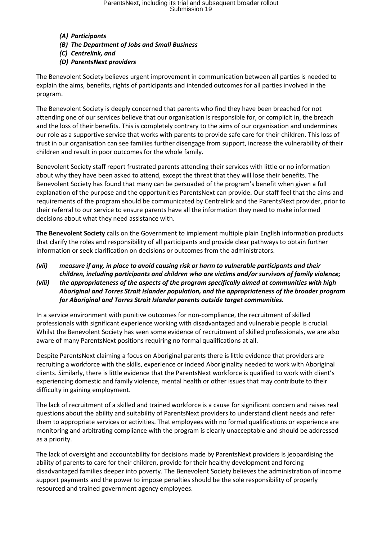# ParentsNext, including its trial and subsequent broader rollout Submission 19

#### *(A) Participants*

- *(B) The Department of Jobs and Small Business*
- *(C) Centrelink, and*
- *(D) ParentsNext providers*

The Benevolent Society believes urgent improvement in communication between all parties is needed to explain the aims, benefits, rights of participants and intended outcomes for all parties involved in the program.

The Benevolent Society is deeply concerned that parents who find they have been breached for not attending one of our services believe that our organisation is responsible for, or complicit in, the breach and the loss of their benefits. This is completely contrary to the aims of our organisation and undermines our role as a supportive service that works with parents to provide safe care for their children. This loss of trust in our organisation can see families further disengage from support, increase the vulnerability of their children and result in poor outcomes for the whole family.

Benevolent Society staff report frustrated parents attending their services with little or no information about why they have been asked to attend, except the threat that they will lose their benefits. The Benevolent Society has found that many can be persuaded of the program's benefit when given a full explanation of the purpose and the opportunities ParentsNext can provide. Our staff feel that the aims and requirements of the program should be communicated by Centrelink and the ParentsNext provider, prior to their referral to our service to ensure parents have all the information they need to make informed decisions about what they need assistance with.

**The Benevolent Society** calls on the Government to implement multiple plain English information products that clarify the roles and responsibility of all participants and provide clear pathways to obtain further information or seek clarification on decisions or outcomes from the administrators.

## *(vii) measure if any, in place to avoid causing risk or harm to vulnerable participants and their children, including participants and children who are victims and/or survivors of family violence; (viii) the appropriateness of the aspects of the program specifically aimed at communities with high*

*Aboriginal and Torres Strait Islander population, and the appropriateness of the broader program for Aboriginal and Torres Strait Islander parents outside target communities.*

In a service environment with punitive outcomes for non-compliance, the recruitment of skilled professionals with significant experience working with disadvantaged and vulnerable people is crucial. Whilst the Benevolent Society has seen some evidence of recruitment of skilled professionals, we are also aware of many ParentsNext positions requiring no formal qualifications at all.

Despite ParentsNext claiming a focus on Aboriginal parents there is little evidence that providers are recruiting a workforce with the skills, experience or indeed Aboriginality needed to work with Aboriginal clients. Similarly, there is little evidence that the ParentsNext workforce is qualified to work with client's experiencing domestic and family violence, mental health or other issues that may contribute to their difficulty in gaining employment.

The lack of recruitment of a skilled and trained workforce is a cause for significant concern and raises real questions about the ability and suitability of ParentsNext providers to understand client needs and refer them to appropriate services or activities. That employees with no formal qualifications or experience are monitoring and arbitrating compliance with the program is clearly unacceptable and should be addressed as a priority.

The lack of oversight and accountability for decisions made by ParentsNext providers is jeopardising the ability of parents to care for their children, provide for their healthy development and forcing disadvantaged families deeper into poverty. The Benevolent Society believes the administration of income support payments and the power to impose penalties should be the sole responsibility of properly resourced and trained government agency employees.